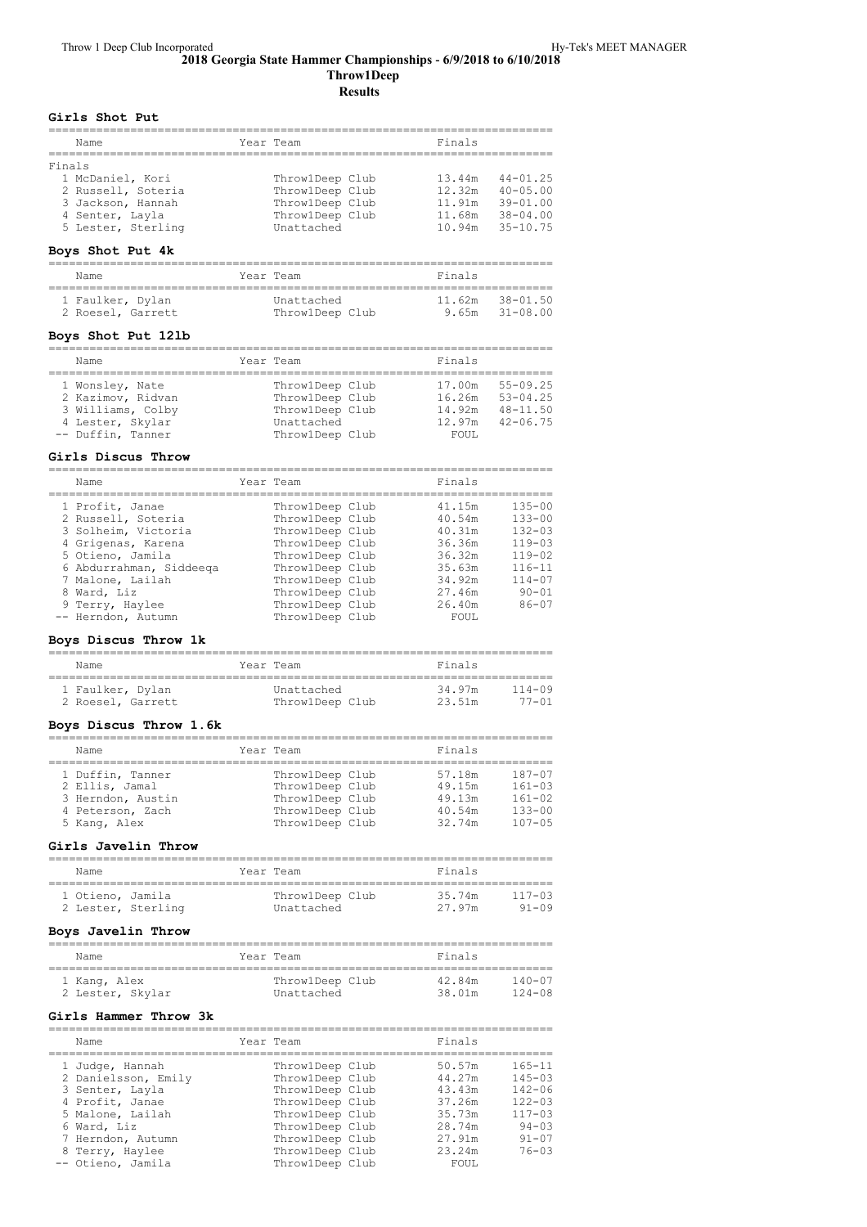### **2018 Georgia State Hammer Championships ‑ 6/9/2018 to 6/10/2018 Throw1Deep Results**

**Girls Shot Put**

| Name               | Year Team       | Finals |              |
|--------------------|-----------------|--------|--------------|
| Finals             |                 |        |              |
| 1 McDaniel, Kori   | ThrowlDeep Club | 13.44m | $44 - 01.25$ |
| 2 Russell, Soteria | ThrowlDeep Club | 12.32m | $40 - 05.00$ |
| 3 Jackson, Hannah  | ThrowlDeep Club | 11.91m | $39 - 01.00$ |
| 4 Senter, Layla    | ThrowlDeep Club | 11.68m | $38 - 04.00$ |
| 5 Lester, Sterling | Unattached      | 10.94m | $35 - 10.75$ |
|                    |                 |        |              |

# **Boys Shot Put 4k**

| Name              | Year Team       | Finals              |
|-------------------|-----------------|---------------------|
| 1 Faulker, Dylan  | Unattached      | $11.62m$ $38-01.50$ |
| 2 Roesel, Garrett | ThrowlDeep Club | $9.65m$ $31-08.00$  |

### **Boys Shot Put 12lb**

| Name                                                                                               |  | Year Team                                                                              | Finals                                        |                                                              |
|----------------------------------------------------------------------------------------------------|--|----------------------------------------------------------------------------------------|-----------------------------------------------|--------------------------------------------------------------|
| 1 Wonsley, Nate<br>2 Kazimov, Ridvan<br>3 Williams, Colby<br>4 Lester, Skylar<br>-- Duffin, Tanner |  | ThrowlDeep Club<br>ThrowlDeep Club<br>ThrowlDeep Club<br>Unattached<br>ThrowlDeep Club | 17.00m<br>16.26m<br>14.92m<br>12.97m<br>FOUL. | $55 - 09.25$<br>$53 - 04.25$<br>$48 - 11.50$<br>$42 - 06.75$ |

### **Girls Discus Throw**

========================================================================== Name Year Team Finals

|  | <b>IVOLIDE</b>          |                 | ------- |            |
|--|-------------------------|-----------------|---------|------------|
|  | 1 Profit, Janae         | ThrowlDeep Club | 41.15m  | $135 - 00$ |
|  | 2 Russell, Soteria      | ThrowlDeep Club | 40.54m  | $133 - 00$ |
|  | 3 Solheim, Victoria     | ThrowlDeep Club | 40.31m  | $132 - 03$ |
|  | 4 Grigenas, Karena      | ThrowlDeep Club | 36.36m  | $119 - 03$ |
|  | 5 Otieno, Jamila        | ThrowlDeep Club | 36.32m  | $119 - 02$ |
|  | 6 Abdurrahman, Siddeeqa | ThrowlDeep Club | 35.63m  | $116 - 11$ |
|  | 7 Malone, Lailah        | ThrowlDeep Club | 34.92m  | $114 - 07$ |
|  | 8 Ward, Liz             | ThrowlDeep Club | 27.46m  | $90 - 01$  |
|  | 9 Terry, Haylee         | ThrowlDeep Club | 26.40m  | $86 - 07$  |
|  | -- Herndon, Autumn      | ThrowlDeep Club | FOUL    |            |
|  |                         |                 |         |            |

### **Boys Discus Throw 1k**

| Name              | Year Team       | Finals               |  |  |  |  |  |
|-------------------|-----------------|----------------------|--|--|--|--|--|
| 1 Faulker, Dylan  | Unattached      | 34.97m<br>$114 - 09$ |  |  |  |  |  |
| 2 Roesel, Garrett | ThrowlDeep Club | $77 - 01$<br>23.51m  |  |  |  |  |  |

## **Boys Discus Throw 1.6k**

| Name                                                                                        |  | Year Team                                                                                   |  | Finals                                         |                                                                    |  |  |  |
|---------------------------------------------------------------------------------------------|--|---------------------------------------------------------------------------------------------|--|------------------------------------------------|--------------------------------------------------------------------|--|--|--|
| 1 Duffin, Tanner<br>2 Ellis, Jamal<br>3 Herndon, Austin<br>4 Peterson, Zach<br>5 Kanq, Alex |  | Throw1Deep Club<br>ThrowlDeep Club<br>ThrowlDeep Club<br>ThrowlDeep Club<br>ThrowlDeep Club |  | 57.18m<br>49.15m<br>49.13m<br>40.54m<br>32.74m | $187 - 07$<br>$161 - 03$<br>$161 - 02$<br>$133 - 00$<br>$107 - 05$ |  |  |  |

### **Girls Javelin Throw**

| Name                                   |  |  | Year Team                     | Finals           |                         |  |  |
|----------------------------------------|--|--|-------------------------------|------------------|-------------------------|--|--|
| 1 Otieno, Jamila<br>2 Lester, Sterling |  |  | ThrowlDeep Club<br>Unattached | 35.74m<br>27.97m | $117 - 03$<br>$91 - 09$ |  |  |

## **Boys Javelin Throw**

| Name                             | Year Team                     | Finals                                       |
|----------------------------------|-------------------------------|----------------------------------------------|
| 1 Kanq, Alex<br>2 Lester, Skylar | ThrowlDeep Club<br>Unattached | $140 - 07$<br>42.84m<br>38.01m<br>$124 - 08$ |

## **Girls Hammer Throw 3k**

| Name                | Year Team       | Finals |            |
|---------------------|-----------------|--------|------------|
| 1 Judge, Hannah     | ThrowlDeep Club | 50.57m | $165 - 11$ |
| 2 Danielsson, Emily | ThrowlDeep Club | 44.27m | $145 - 03$ |
| 3 Senter, Layla     | ThrowlDeep Club | 43.43m | $142 - 06$ |
| 4 Profit, Janae     | ThrowlDeep Club | 37.26m | $122 - 03$ |
| 5 Malone, Lailah    | ThrowlDeep Club | 35.73m | $117 - 03$ |
| 6 Ward, Liz         | ThrowlDeep Club | 28.74m | $94 - 0.3$ |
| 7 Herndon, Autumn   | ThrowlDeep Club | 27.91m | $91 - 07$  |
| 8 Terry, Haylee     | ThrowlDeep Club | 23.24m | $76 - 03$  |
| -- Otieno, Jamila   | ThrowlDeep Club | FOUL.  |            |